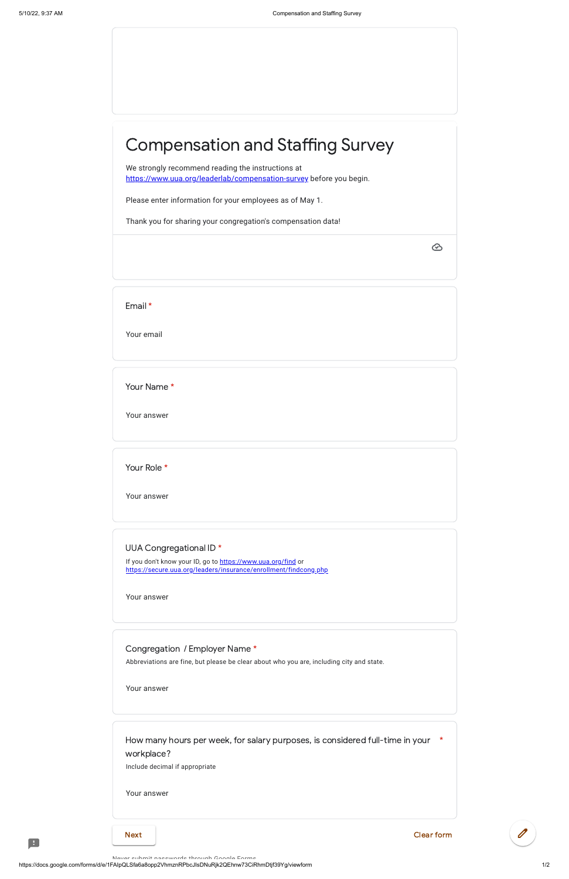| <b>Compensation and Staffing Survey</b>                                                                                                                     |  |  |
|-------------------------------------------------------------------------------------------------------------------------------------------------------------|--|--|
| We strongly recommend reading the instructions at<br>https://www.uua.org/leaderlab/compensation-survey before you begin.                                    |  |  |
| Please enter information for your employees as of May 1.                                                                                                    |  |  |
| Thank you for sharing your congregation's compensation data!                                                                                                |  |  |
|                                                                                                                                                             |  |  |
|                                                                                                                                                             |  |  |
| Email *                                                                                                                                                     |  |  |
| Your email                                                                                                                                                  |  |  |
| Your Name *                                                                                                                                                 |  |  |
| Your answer                                                                                                                                                 |  |  |
| Your Role *                                                                                                                                                 |  |  |
| Your answer                                                                                                                                                 |  |  |
| UUA Congregational ID *<br>If you don't know your ID, go to https://www.uua.org/find or<br>https://secure.uua.org/leaders/insurance/enrollment/findcong.php |  |  |
| Your answer                                                                                                                                                 |  |  |
| Congregation / Employer Name *<br>Abbreviations are fine, but please be clear about who you are, including city and state.                                  |  |  |
| Your answer                                                                                                                                                 |  |  |
| How many hours per week, for salary purposes, is considered full-time in your<br>*<br>workplace?<br>Include decimal if appropriate                          |  |  |
| Your answer                                                                                                                                                 |  |  |
|                                                                                                                                                             |  |  |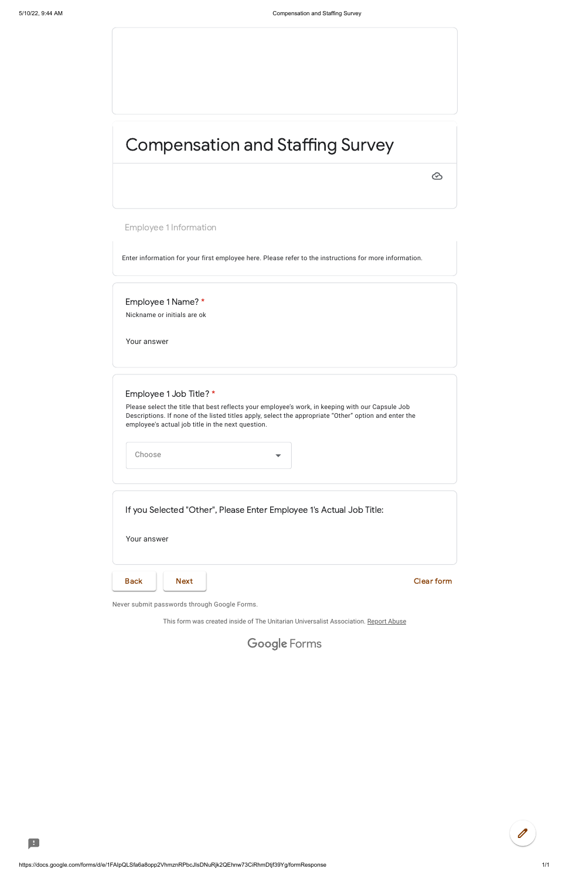Employee 1 Information

Enter information for your first employee here. Please refer to the instructions for more information.

Employee 1 Name? \*

Nickname or initials are ok

Your answer

### Employee 1 Job Title? \*

Please select the title that best reflects your employee's work, in keeping with our Capsule Job Descriptions. If none of the listed titles apply, select the appropriate "Other" option and enter the employee's actual job title in the next question.

Choose

If you Selected "Other", Please Enter Employee 1's Actual Job Title:

Your answer

 $\curvearrowright$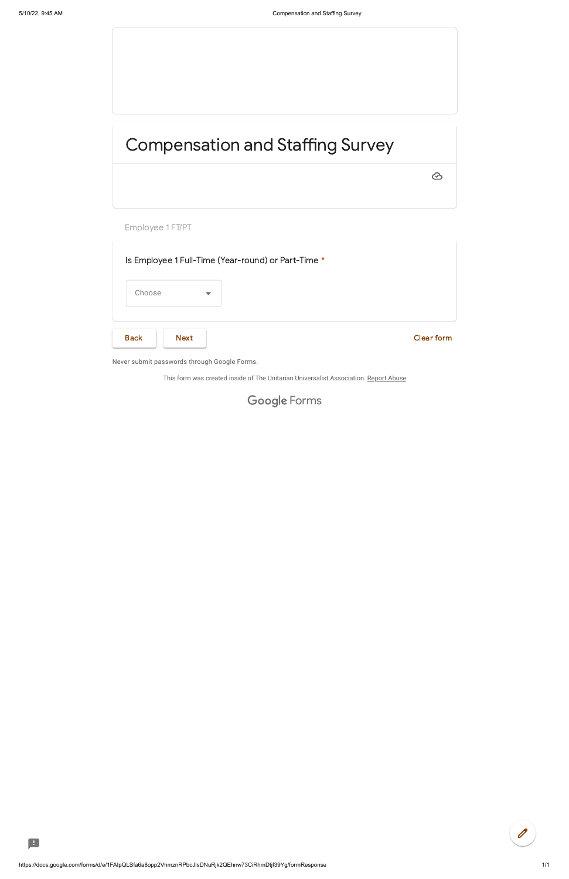Employee 1 FT/PT

Is Employee 1 Full-Time (Year-round) or Part-Time \*

Choose

**Back Next Research Research Clear form** 

 $\odot$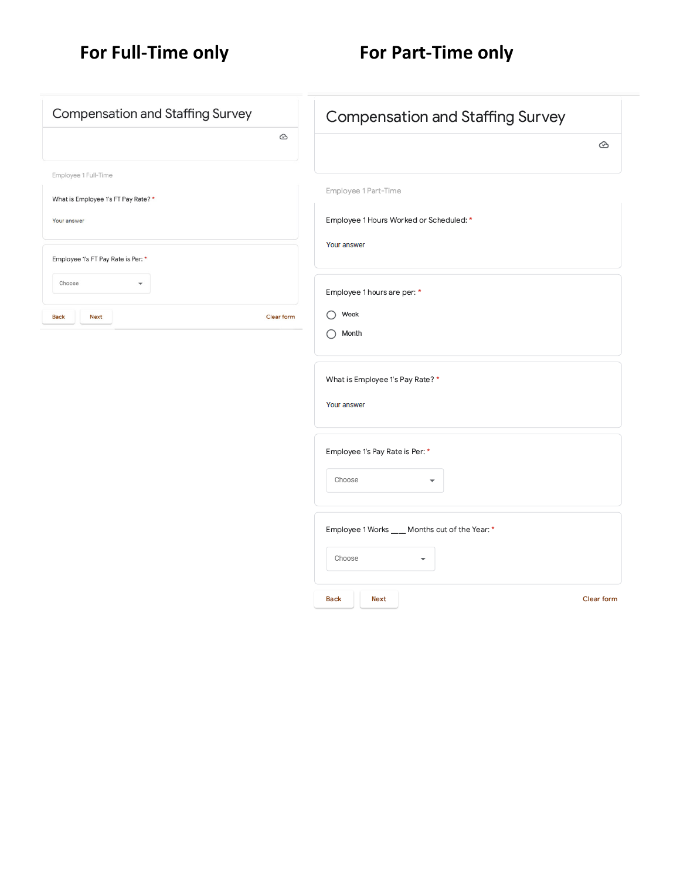## **For Full‐Time only For Part‐Time only**

| <b>Compensation and Staffing Survey</b>  | <b>Compensation and Staffing Survey</b>       |
|------------------------------------------|-----------------------------------------------|
| $\circledcirc$                           | ⊛                                             |
| Employee 1 Full-Time                     |                                               |
| What is Employee 1's FT Pay Rate? *      | Employee 1 Part-Time                          |
| Your answer                              | Employee 1 Hours Worked or Scheduled: *       |
| Employee 1's FT Pay Rate is Per: *       | Your answer                                   |
| Choose                                   | Employee 1 hours are per: *                   |
| Clear form<br><b>Back</b><br><b>Next</b> | Week<br>∩                                     |
|                                          | Month<br>$\scriptstyle\bigcirc$               |
|                                          | What is Employee 1's Pay Rate? *              |
|                                          | Your answer                                   |
|                                          |                                               |
|                                          | Employee 1's Pay Rate is Per: *               |
|                                          | Choose<br>٠                                   |
|                                          | Employee 1 Works ___ Months out of the Year:* |
|                                          | Choose<br>٠                                   |
|                                          |                                               |
|                                          | <b>Back</b><br>Next<br>Clear form             |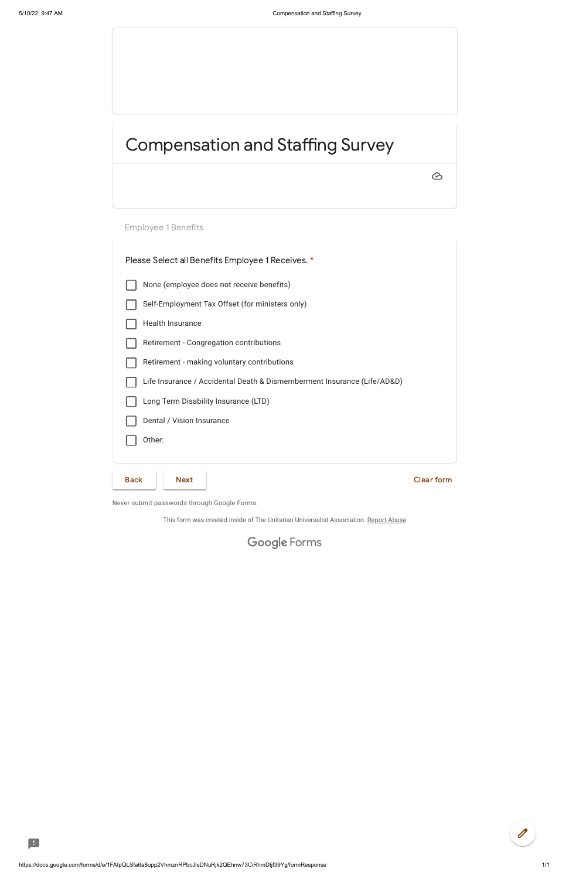| . .                      |  |
|--------------------------|--|
| ×<br>$\frac{1}{2}$<br>۰, |  |

| <b>Next</b><br><b>Back</b>                                              | <b>Clear form</b> |
|-------------------------------------------------------------------------|-------------------|
| Other:                                                                  |                   |
| Dental / Vision Insurance                                               |                   |
| Long Term Disability Insurance (LTD)                                    |                   |
| Life Insurance / Accidental Death & Dismemberment Insurance (Life/AD&D) |                   |
| Retirement - making voluntary contributions                             |                   |
| Retirement - Congregation contributions                                 |                   |
| Health Insurance                                                        |                   |
| Self-Employment Tax Offset (for ministers only)                         |                   |
| None (employee does not receive benefits)                               |                   |
| Please Select all Benefits Employee 1 Receives. *                       |                   |
| <b>Employee 1 Benefits</b>                                              |                   |
|                                                                         |                   |